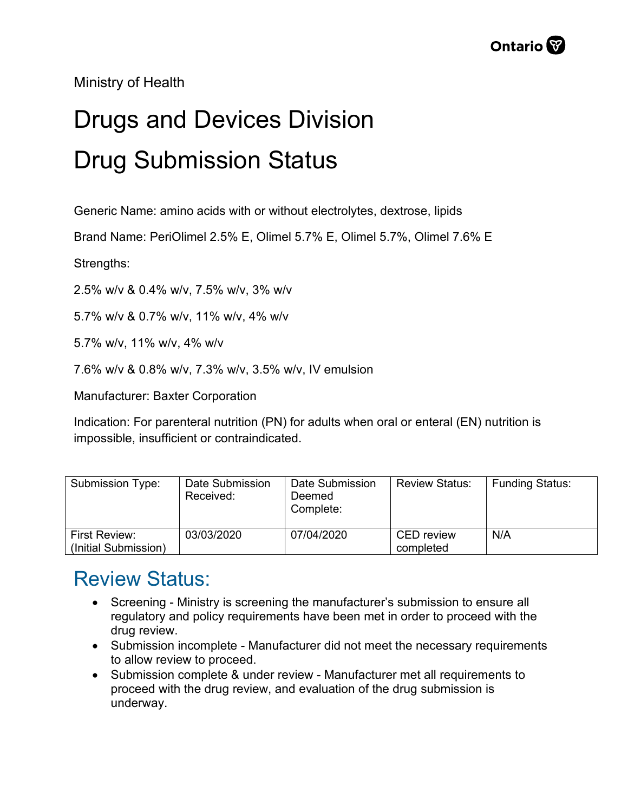

Ministry of Health

## Drugs and Devices Division Drug Submission Status

Generic Name: amino acids with or without electrolytes, dextrose, lipids

Brand Name: PeriOlimel 2.5% E, Olimel 5.7% E, Olimel 5.7%, Olimel 7.6% E

Strengths:

2.5% w/v & 0.4% w/v, 7.5% w/v, 3% w/v

5.7% w/v & 0.7% w/v, 11% w/v, 4% w/v

5.7% w/v, 11% w/v, 4% w/v

7.6% w/v & 0.8% w/v, 7.3% w/v, 3.5% w/v, IV emulsion

Manufacturer: Baxter Corporation

Indication: For parenteral nutrition (PN) for adults when oral or enteral (EN) nutrition is impossible, insufficient or contraindicated.

| <b>Submission Type:</b> | Date Submission<br>Received: | Date Submission<br>Deemed<br>Complete: | <b>Review Status:</b> | <b>Funding Status:</b> |
|-------------------------|------------------------------|----------------------------------------|-----------------------|------------------------|
| <b>First Review:</b>    | 03/03/2020                   | 07/04/2020                             | <b>CED</b> review     | N/A                    |
| (Initial Submission)    |                              |                                        | completed             |                        |

## Review Status:

- Screening Ministry is screening the manufacturer's submission to ensure all regulatory and policy requirements have been met in order to proceed with the drug review.
- Submission incomplete Manufacturer did not meet the necessary requirements to allow review to proceed.
- Submission complete & under review Manufacturer met all requirements to proceed with the drug review, and evaluation of the drug submission is underway.